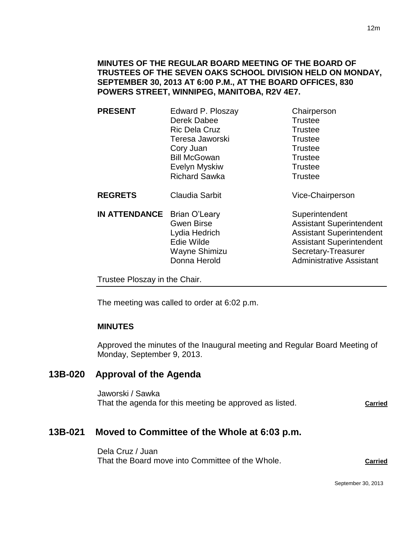## **MINUTES OF THE REGULAR BOARD MEETING OF THE BOARD OF TRUSTEES OF THE SEVEN OAKS SCHOOL DIVISION HELD ON MONDAY, SEPTEMBER 30, 2013 AT 6:00 P.M., AT THE BOARD OFFICES, 830 POWERS STREET, WINNIPEG, MANITOBA, R2V 4E7.**

| <b>PRESENT</b> | Edward P. Ploszay     | Chairperson      |
|----------------|-----------------------|------------------|
|                | Derek Dabee           | <b>Trustee</b>   |
|                | <b>Ric Dela Cruz</b>  | <b>Trustee</b>   |
|                | Teresa Jaworski       | <b>Trustee</b>   |
|                | Cory Juan             | <b>Trustee</b>   |
|                | <b>Bill McGowan</b>   | <b>Trustee</b>   |
|                | Evelyn Myskiw         | <b>Trustee</b>   |
|                | <b>Richard Sawka</b>  | <b>Trustee</b>   |
| <b>REGRETS</b> | <b>Claudia Sarbit</b> | Vice-Chairperson |

**IN ATTENDANCE** Brian O'Leary Superintendent

Gwen Birse **Assistant Superintendent** Lydia Hedrich **Assistant Superintendent** Edie Wilde **Assistant Superintendent** Wayne Shimizu Secretary-Treasurer Donna Herold **Administrative Assistant** 

Trustee Ploszay in the Chair.

The meeting was called to order at 6:02 p.m.

## **MINUTES**

Approved the minutes of the Inaugural meeting and Regular Board Meeting of Monday, September 9, 2013.

# **13B-020 Approval of the Agenda**

Jaworski / Sawka That the agenda for this meeting be approved as listed. **Carried** 

# **13B-021 Moved to Committee of the Whole at 6:03 p.m.**

Dela Cruz / Juan That the Board move into Committee of the Whole. **Carried**

September 30, 2013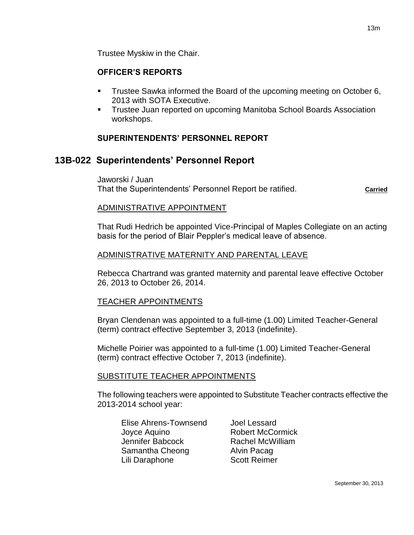Trustee Myskiw in the Chair.

## **OFFICER'S REPORTS**

- Trustee Sawka informed the Board of the upcoming meeting on October 6, 2013 with SOTA Executive.
- **Trustee Juan reported on upcoming Manitoba School Boards Association** workshops.

## **SUPERINTENDENTS' PERSONNEL REPORT**

# **13B-022 Superintendents' Personnel Report**

Jaworski / Juan That the Superintendents' Personnel Report be ratified. **Carried** 

## ADMINISTRATIVE APPOINTMENT

That Rudi Hedrich be appointed Vice-Principal of Maples Collegiate on an acting basis for the period of Blair Peppler's medical leave of absence.

## ADMINISTRATIVE MATERNITY AND PARENTAL LEAVE

Rebecca Chartrand was granted maternity and parental leave effective October 26, 2013 to October 26, 2014.

#### TEACHER APPOINTMENTS

Bryan Clendenan was appointed to a full-time (1.00) Limited Teacher-General (term) contract effective September 3, 2013 (indefinite).

Michelle Poirier was appointed to a full-time (1.00) Limited Teacher-General (term) contract effective October 7, 2013 (indefinite).

## SUBSTITUTE TEACHER APPOINTMENTS

The following teachers were appointed to Substitute Teacher contracts effective the 2013-2014 school year:

Elise Ahrens-Townsend Joel Lessard Joyce Aquino **Robert McCormick** Jennifer Babcock Rachel McWilliam Samantha Cheong **Alvin Pacag** Lili Daraphone Scott Reimer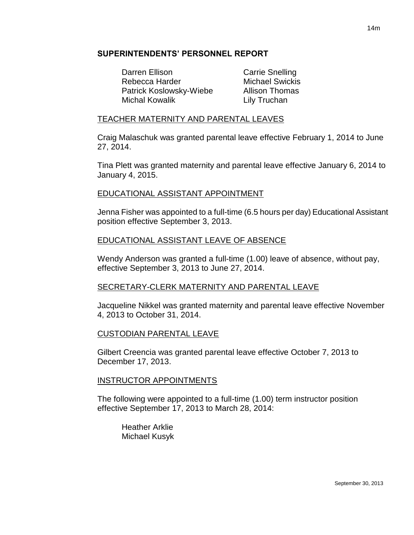## **SUPERINTENDENTS' PERSONNEL REPORT**

Darren Ellison Carrie Snelling Rebecca Harder Michael Swickis Patrick Koslowsky-Wiebe Allison Thomas Michal Kowalik **Lily Truchan** 

## TEACHER MATERNITY AND PARENTAL LEAVES

Craig Malaschuk was granted parental leave effective February 1, 2014 to June 27, 2014.

Tina Plett was granted maternity and parental leave effective January 6, 2014 to January 4, 2015.

## EDUCATIONAL ASSISTANT APPOINTMENT

Jenna Fisher was appointed to a full-time (6.5 hours per day) Educational Assistant position effective September 3, 2013.

## EDUCATIONAL ASSISTANT LEAVE OF ABSENCE

Wendy Anderson was granted a full-time (1.00) leave of absence, without pay, effective September 3, 2013 to June 27, 2014.

## SECRETARY-CLERK MATERNITY AND PARENTAL LEAVE

Jacqueline Nikkel was granted maternity and parental leave effective November 4, 2013 to October 31, 2014.

## CUSTODIAN PARENTAL LEAVE

Gilbert Creencia was granted parental leave effective October 7, 2013 to December 17, 2013.

#### INSTRUCTOR APPOINTMENTS

The following were appointed to a full-time (1.00) term instructor position effective September 17, 2013 to March 28, 2014:

Heather Arklie Michael Kusyk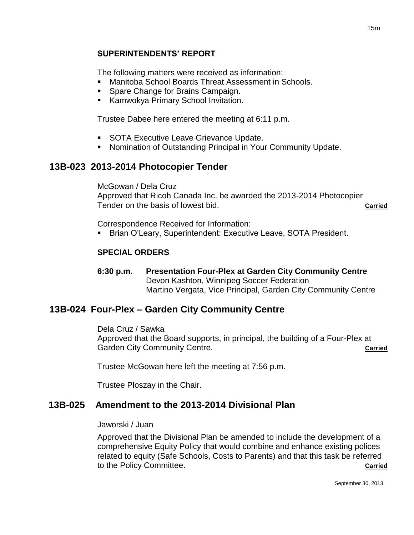## **SUPERINTENDENTS' REPORT**

The following matters were received as information:

- Manitoba School Boards Threat Assessment in Schools.
- **Spare Change for Brains Campaign.**
- **Kamwokya Primary School Invitation.**

Trustee Dabee here entered the meeting at 6:11 p.m.

- **SOTA Executive Leave Grievance Update.**
- Nomination of Outstanding Principal in Your Community Update.

# **13B-023 2013-2014 Photocopier Tender**

McGowan / Dela Cruz Approved that Ricoh Canada Inc. be awarded the 2013-2014 Photocopier Tender on the basis of lowest bid. **Carried**

Correspondence Received for Information:

Brian O'Leary, Superintendent: Executive Leave, SOTA President.

## **SPECIAL ORDERS**

**6:30 p.m. Presentation Four-Plex at Garden City Community Centre**  Devon Kashton, Winnipeg Soccer Federation Martino Vergata, Vice Principal, Garden City Community Centre

# **13B-024 Four-Plex – Garden City Community Centre**

Dela Cruz / Sawka

Approved that the Board supports, in principal, the building of a Four-Plex at Garden City Community Centre. **Carried**

Trustee McGowan here left the meeting at 7:56 p.m.

Trustee Ploszay in the Chair.

# **13B-025 Amendment to the 2013-2014 Divisional Plan**

Jaworski / Juan

Approved that the Divisional Plan be amended to include the development of a comprehensive Equity Policy that would combine and enhance existing polices related to equity (Safe Schools, Costs to Parents) and that this task be referred to the Policy Committee. **Carried**

September 30, 2013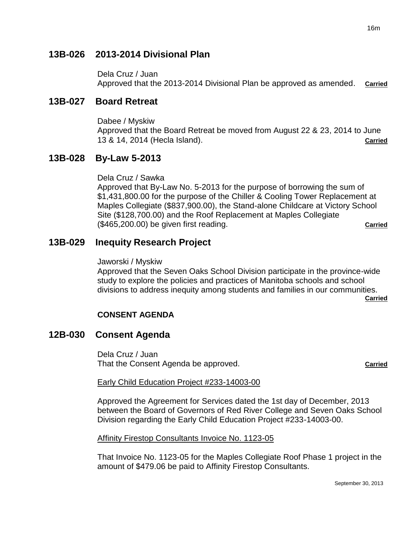# **13B-026 2013-2014 Divisional Plan**

Dela Cruz / Juan Approved that the 2013-2014 Divisional Plan be approved as amended. **Carried**

# **13B-027 Board Retreat**

Dabee / Myskiw Approved that the Board Retreat be moved from August 22 & 23, 2014 to June 13 & 14, 2014 (Hecla Island). **Carried**

# **13B-028 By-Law 5-2013**

Dela Cruz / Sawka

Approved that By-Law No. 5-2013 for the purpose of borrowing the sum of \$1,431,800.00 for the purpose of the Chiller & Cooling Tower Replacement at Maples Collegiate (\$837,900.00), the Stand-alone Childcare at Victory School Site (\$128,700.00) and the Roof Replacement at Maples Collegiate (\$465,200.00) be given first reading. **Carried**

# **13B-029 Inequity Research Project**

Jaworski / Myskiw

Approved that the Seven Oaks School Division participate in the province-wide study to explore the policies and practices of Manitoba schools and school divisions to address inequity among students and families in our communities. **Carried**

**CONSENT AGENDA**

# **12B-030 Consent Agenda**

Dela Cruz / Juan That the Consent Agenda be approved. That the Consent Agenda be approved.

#### Early Child Education Project #233-14003-00

Approved the Agreement for Services dated the 1st day of December, 2013 between the Board of Governors of Red River College and Seven Oaks School Division regarding the Early Child Education Project #233-14003-00.

Affinity Firestop Consultants Invoice No. 1123-05

That Invoice No. 1123-05 for the Maples Collegiate Roof Phase 1 project in the amount of \$479.06 be paid to Affinity Firestop Consultants.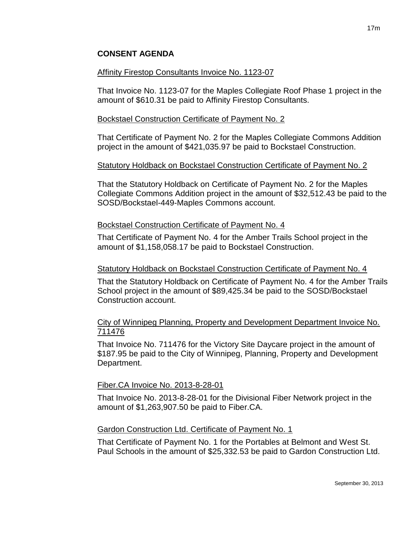## **CONSENT AGENDA**

## Affinity Firestop Consultants Invoice No. 1123-07

That Invoice No. 1123-07 for the Maples Collegiate Roof Phase 1 project in the amount of \$610.31 be paid to Affinity Firestop Consultants.

## Bockstael Construction Certificate of Payment No. 2

That Certificate of Payment No. 2 for the Maples Collegiate Commons Addition project in the amount of \$421,035.97 be paid to Bockstael Construction.

## Statutory Holdback on Bockstael Construction Certificate of Payment No. 2

That the Statutory Holdback on Certificate of Payment No. 2 for the Maples Collegiate Commons Addition project in the amount of \$32,512.43 be paid to the SOSD/Bockstael-449-Maples Commons account.

## Bockstael Construction Certificate of Payment No. 4

That Certificate of Payment No. 4 for the Amber Trails School project in the amount of \$1,158,058.17 be paid to Bockstael Construction.

#### Statutory Holdback on Bockstael Construction Certificate of Payment No. 4

That the Statutory Holdback on Certificate of Payment No. 4 for the Amber Trails School project in the amount of \$89,425.34 be paid to the SOSD/Bockstael Construction account.

## City of Winnipeg Planning, Property and Development Department Invoice No. 711476

That Invoice No. 711476 for the Victory Site Daycare project in the amount of \$187.95 be paid to the City of Winnipeg, Planning, Property and Development Department.

#### Fiber.CA Invoice No. 2013-8-28-01

That Invoice No. 2013-8-28-01 for the Divisional Fiber Network project in the amount of \$1,263,907.50 be paid to Fiber.CA.

#### Gardon Construction Ltd. Certificate of Payment No. 1

That Certificate of Payment No. 1 for the Portables at Belmont and West St. Paul Schools in the amount of \$25,332.53 be paid to Gardon Construction Ltd.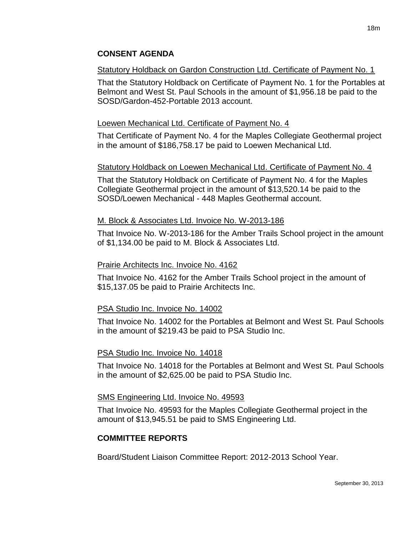# Statutory Holdback on Gardon Construction Ltd. Certificate of Payment No. 1

That the Statutory Holdback on Certificate of Payment No. 1 for the Portables at Belmont and West St. Paul Schools in the amount of \$1,956.18 be paid to the SOSD/Gardon-452-Portable 2013 account.

# Loewen Mechanical Ltd. Certificate of Payment No. 4

That Certificate of Payment No. 4 for the Maples Collegiate Geothermal project in the amount of \$186,758.17 be paid to Loewen Mechanical Ltd.

# Statutory Holdback on Loewen Mechanical Ltd. Certificate of Payment No. 4

That the Statutory Holdback on Certificate of Payment No. 4 for the Maples Collegiate Geothermal project in the amount of \$13,520.14 be paid to the SOSD/Loewen Mechanical - 448 Maples Geothermal account.

# M. Block & Associates Ltd. Invoice No. W-2013-186

That Invoice No. W-2013-186 for the Amber Trails School project in the amount of \$1,134.00 be paid to M. Block & Associates Ltd.

## Prairie Architects Inc. Invoice No. 4162

That Invoice No. 4162 for the Amber Trails School project in the amount of \$15,137.05 be paid to Prairie Architects Inc.

# PSA Studio Inc. Invoice No. 14002

That Invoice No. 14002 for the Portables at Belmont and West St. Paul Schools in the amount of \$219.43 be paid to PSA Studio Inc.

# PSA Studio Inc. Invoice No. 14018

That Invoice No. 14018 for the Portables at Belmont and West St. Paul Schools in the amount of \$2,625.00 be paid to PSA Studio Inc.

## SMS Engineering Ltd. Invoice No. 49593

That Invoice No. 49593 for the Maples Collegiate Geothermal project in the amount of \$13,945.51 be paid to SMS Engineering Ltd.

# **COMMITTEE REPORTS**

Board/Student Liaison Committee Report: 2012-2013 School Year.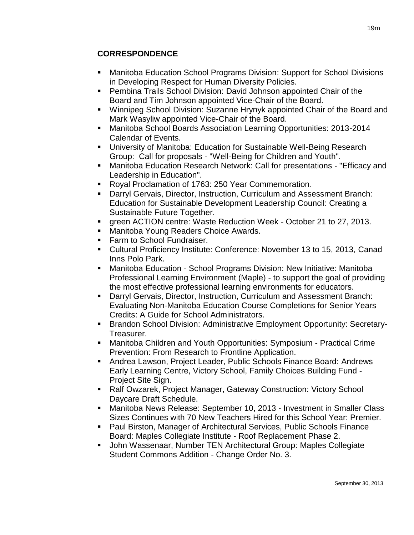# **CORRESPONDENCE**

- Manitoba Education School Programs Division: Support for School Divisions in Developing Respect for Human Diversity Policies.
- Pembina Trails School Division: David Johnson appointed Chair of the Board and Tim Johnson appointed Vice-Chair of the Board.
- Winnipeg School Division: Suzanne Hrynyk appointed Chair of the Board and Mark Wasyliw appointed Vice-Chair of the Board.
- Manitoba School Boards Association Learning Opportunities: 2013-2014 Calendar of Events.
- University of Manitoba: Education for Sustainable Well-Being Research Group: Call for proposals - "Well-Being for Children and Youth".
- Manitoba Education Research Network: Call for presentations "Efficacy and Leadership in Education".
- **Royal Proclamation of 1763: 250 Year Commemoration.**
- Darryl Gervais, Director, Instruction, Curriculum and Assessment Branch: Education for Sustainable Development Leadership Council: Creating a Sustainable Future Together.
- green ACTION centre: Waste Reduction Week October 21 to 27, 2013.
- **Manitoba Young Readers Choice Awards.**
- Farm to School Fundraiser.
- Cultural Proficiency Institute: Conference: November 13 to 15, 2013, Canad Inns Polo Park.
- Manitoba Education School Programs Division: New Initiative: Manitoba Professional Learning Environment (Maple) - to support the goal of providing the most effective professional learning environments for educators.
- Darryl Gervais, Director, Instruction, Curriculum and Assessment Branch: Evaluating Non-Manitoba Education Course Completions for Senior Years Credits: A Guide for School Administrators.
- Brandon School Division: Administrative Employment Opportunity: Secretary-Treasurer.
- Manitoba Children and Youth Opportunities: Symposium Practical Crime Prevention: From Research to Frontline Application.
- Andrea Lawson, Project Leader, Public Schools Finance Board: Andrews Early Learning Centre, Victory School, Family Choices Building Fund - Project Site Sign.
- Ralf Owzarek, Project Manager, Gateway Construction: Victory School Daycare Draft Schedule.
- Manitoba News Release: September 10, 2013 Investment in Smaller Class Sizes Continues with 70 New Teachers Hired for this School Year: Premier.
- Paul Birston, Manager of Architectural Services, Public Schools Finance Board: Maples Collegiate Institute - Roof Replacement Phase 2.
- John Wassenaar, Number TEN Architectural Group: Maples Collegiate Student Commons Addition - Change Order No. 3.